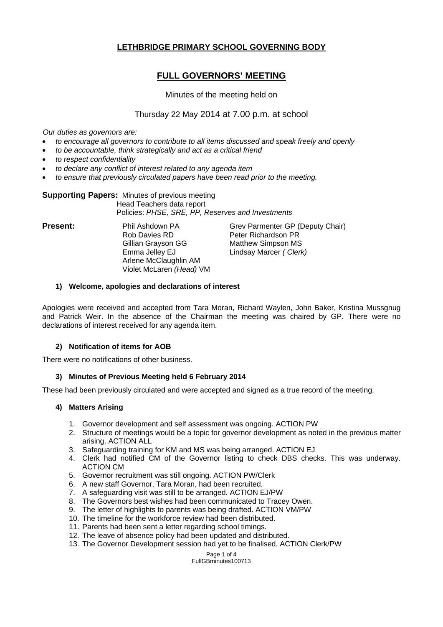# **LETHBRIDGE PRIMARY SCHOOL GOVERNING BODY**

# **FULL GOVERNORS' MEETING**

# Minutes of the meeting held on

# Thursday 22 May 2014 at 7.00 p.m. at school

*Our duties as governors are:* 

- *to encourage all governors to contribute to all items discussed and speak freely and openly*
- *to be accountable, think strategically and act as a critical friend*
- *to respect confidentiality*
- *to declare any conflict of interest related to any agenda item*
- *to ensure that previously circulated papers have been read prior to the meeting.*

#### **Supporting Papers:** Minutes of previous meeting Head Teachers data report Policies: *PHSE, SRE, PP, Reserves and Investments*

Rob Davies RD Peter Richardson PR Gillian Grayson GG Matthew Simpson MS Emma Jelley EJ Lindsay Marcer *( Clerk)* Arlene McClaughlin AM Violet McLaren *(Head)* VM

**Present:** Phil Ashdown PA Grev Parmenter GP (Deputy Chair)

## **1) Welcome, apologies and declarations of interest**

Apologies were received and accepted from Tara Moran, Richard Waylen, John Baker, Kristina Mussgnug and Patrick Weir. In the absence of the Chairman the meeting was chaired by GP. There were no declarations of interest received for any agenda item.

## **2) Notification of items for AOB**

There were no notifications of other business.

## **3) Minutes of Previous Meeting held 6 February 2014**

These had been previously circulated and were accepted and signed as a true record of the meeting.

## **4) Matters Arising**

- 1. Governor development and self assessment was ongoing. ACTION PW
- 2. Structure of meetings would be a topic for governor development as noted in the previous matter arising. ACTION ALL
- 3. Safeguarding training for KM and MS was being arranged. ACTION EJ
- 4. Clerk had notified CM of the Governor listing to check DBS checks. This was underway. ACTION CM
- 5. Governor recruitment was still ongoing. ACTION PW/Clerk
- 6. A new staff Governor, Tara Moran, had been recruited.
- 7. A safeguarding visit was still to be arranged. ACTION EJ/PW
- 8. The Governors best wishes had been communicated to Tracey Owen.<br>9. The letter of highlights to parents was being drafted. ACTION VM/PW
- The letter of highlights to parents was being drafted. ACTION VM/PW
- 10. The timeline for the workforce review had been distributed.
- 11. Parents had been sent a letter regarding school timings.
- 12. The leave of absence policy had been updated and distributed.
- 13. The Governor Development session had yet to be finalised. ACTION Clerk/PW

Page 1 of 4 FullGBminutes100713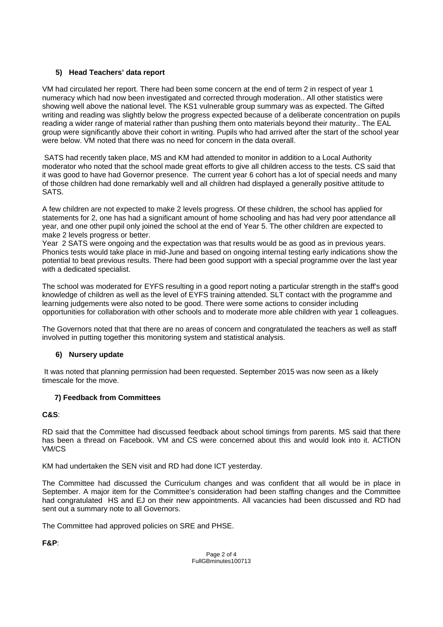# **5) Head Teachers' data report**

VM had circulated her report. There had been some concern at the end of term 2 in respect of year 1 numeracy which had now been investigated and corrected through moderation.. All other statistics were showing well above the national level. The KS1 vulnerable group summary was as expected. The Gifted writing and reading was slightly below the progress expected because of a deliberate concentration on pupils reading a wider range of material rather than pushing them onto materials beyond their maturity.. The EAL group were significantly above their cohort in writing. Pupils who had arrived after the start of the school year were below. VM noted that there was no need for concern in the data overall.

 SATS had recently taken place, MS and KM had attended to monitor in addition to a Local Authority moderator who noted that the school made great efforts to give all children access to the tests. CS said that it was good to have had Governor presence. The current year 6 cohort has a lot of special needs and many of those children had done remarkably well and all children had displayed a generally positive attitude to SATS.

A few children are not expected to make 2 levels progress. Of these children, the school has applied for statements for 2, one has had a significant amount of home schooling and has had very poor attendance all year, and one other pupil only joined the school at the end of Year 5. The other children are expected to make 2 levels progress or better.

Year 2 SATS were ongoing and the expectation was that results would be as good as in previous years. Phonics tests would take place in mid-June and based on ongoing internal testing early indications show the potential to beat previous results. There had been good support with a special programme over the last year with a dedicated specialist.

The school was moderated for EYFS resulting in a good report noting a particular strength in the staff's good knowledge of children as well as the level of EYFS training attended. SLT contact with the programme and learning judgements were also noted to be good. There were some actions to consider including opportunities for collaboration with other schools and to moderate more able children with year 1 colleagues.

The Governors noted that that there are no areas of concern and congratulated the teachers as well as staff involved in putting together this monitoring system and statistical analysis.

# **6) Nursery update**

 It was noted that planning permission had been requested. September 2015 was now seen as a likely timescale for the move.

# **7) Feedback from Committees**

# **C&S**:

RD said that the Committee had discussed feedback about school timings from parents. MS said that there has been a thread on Facebook. VM and CS were concerned about this and would look into it. ACTION VM/CS

KM had undertaken the SEN visit and RD had done ICT yesterday.

The Committee had discussed the Curriculum changes and was confident that all would be in place in September. A major item for the Committee's consideration had been staffing changes and the Committee had congratulated HS and EJ on their new appointments. All vacancies had been discussed and RD had sent out a summary note to all Governors.

The Committee had approved policies on SRE and PHSE.

**F&P**: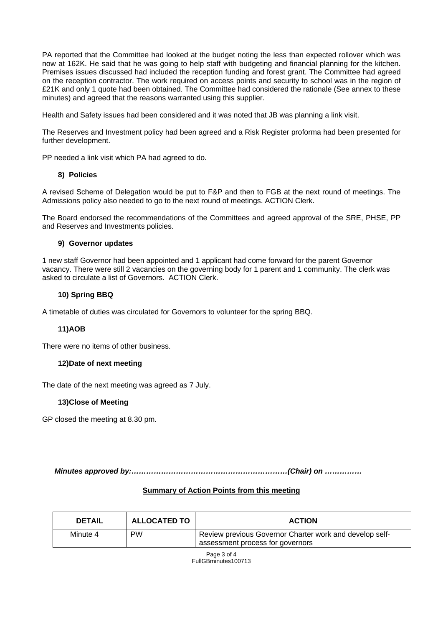PA reported that the Committee had looked at the budget noting the less than expected rollover which was now at 162K. He said that he was going to help staff with budgeting and financial planning for the kitchen. Premises issues discussed had included the reception funding and forest grant. The Committee had agreed on the reception contractor. The work required on access points and security to school was in the region of £21K and only 1 quote had been obtained. The Committee had considered the rationale (See annex to these minutes) and agreed that the reasons warranted using this supplier.

Health and Safety issues had been considered and it was noted that JB was planning a link visit.

The Reserves and Investment policy had been agreed and a Risk Register proforma had been presented for further development.

PP needed a link visit which PA had agreed to do.

### **8) Policies**

A revised Scheme of Delegation would be put to F&P and then to FGB at the next round of meetings. The Admissions policy also needed to go to the next round of meetings. ACTION Clerk.

The Board endorsed the recommendations of the Committees and agreed approval of the SRE, PHSE, PP and Reserves and Investments policies.

### **9) Governor updates**

1 new staff Governor had been appointed and 1 applicant had come forward for the parent Governor vacancy. There were still 2 vacancies on the governing body for 1 parent and 1 community. The clerk was asked to circulate a list of Governors. ACTION Clerk.

### **10) Spring BBQ**

A timetable of duties was circulated for Governors to volunteer for the spring BBQ.

## **11) AOB**

There were no items of other business.

#### **12) Date of next meeting**

The date of the next meeting was agreed as 7 July.

## **13) Close of Meeting**

GP closed the meeting at 8.30 pm.

 *Minutes approved by:………………………………………………………(Chair) on ……………* 

# **Summary of Action Points from this meeting**

| <b>DETAIL</b> | <b>ALLOCATED TO</b> | <b>ACTION</b>                                           |
|---------------|---------------------|---------------------------------------------------------|
| Minute 4      | <b>PW</b>           | Review previous Governor Charter work and develop self- |
|               |                     | assessment process for governors                        |

Page 3 of 4 FullGBminutes100713